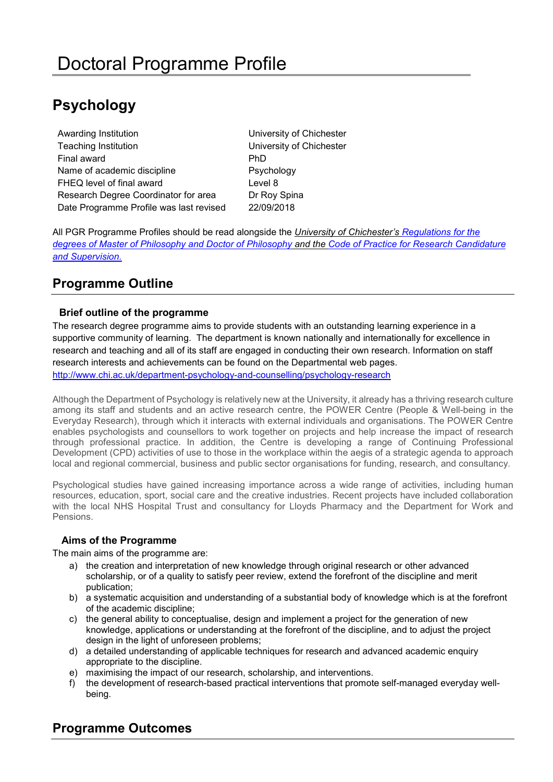# **Psychology**

Awarding Institution **Nation** University of Chichester Teaching Institution University of Chichester Final award **PhD** Name of academic discipline **Psychology** FHEQ level of final award **EXALC 10** Level 8 Research Degree Coordinator for area Dr Roy Spina Date Programme Profile was last revised 22/09/2018

All PGR Programme Profiles should be read alongside the *University of Chichester's [Regulations for the](http://www.chi.ac.uk/%3Cfront%3E/about-us/how-we-work/policies/academic-policies)  [degrees of Master of Philosophy and Doctor of Philosophy](http://www.chi.ac.uk/%3Cfront%3E/about-us/how-we-work/policies/academic-policies) and the [Code of Practice for Research Candidature](https://www.chi.ac.uk/about-us/policies-and-statements/academic-and-student-support)  [and Supervision.](https://www.chi.ac.uk/about-us/policies-and-statements/academic-and-student-support)*

# **Programme Outline**

# **Brief outline of the programme**

The research degree programme aims to provide students with an outstanding learning experience in a supportive community of learning. The department is known nationally and internationally for excellence in research and teaching and all of its staff are engaged in conducting their own research. Information on staff research interests and achievements can be found on the Departmental web pages. <http://www.chi.ac.uk/department-psychology-and-counselling/psychology-research>

Although the Department of Psychology is relatively new at the University, it already has a thriving research culture among its staff and students and an active research centre, the POWER Centre (People & Well-being in the Everyday Research), through which it interacts with external individuals and organisations. The POWER Centre enables psychologists and counsellors to work together on projects and help increase the impact of research through professional practice. In addition, the Centre is developing a range of Continuing Professional Development (CPD) activities of use to those in the workplace within the aegis of a strategic agenda to approach local and regional commercial, business and public sector organisations for funding, research, and consultancy.

Psychological studies have gained increasing importance across a wide range of activities, including human resources, education, sport, social care and the creative industries. Recent projects have included collaboration with the local NHS Hospital Trust and consultancy for Lloyds Pharmacy and the Department for Work and Pensions.

### **Aims of the Programme**

The main aims of the programme are:

- a) the creation and interpretation of new knowledge through original research or other advanced scholarship, or of a quality to satisfy peer review, extend the forefront of the discipline and merit publication;
- b) a systematic acquisition and understanding of a substantial body of knowledge which is at the forefront of the academic discipline;
- c) the general ability to conceptualise, design and implement a project for the generation of new knowledge, applications or understanding at the forefront of the discipline, and to adjust the project design in the light of unforeseen problems;
- d) a detailed understanding of applicable techniques for research and advanced academic enquiry appropriate to the discipline.
- e) maximising the impact of our research, scholarship, and interventions.
- f) the development of research-based practical interventions that promote self-managed everyday wellbeing.

# **Programme Outcomes**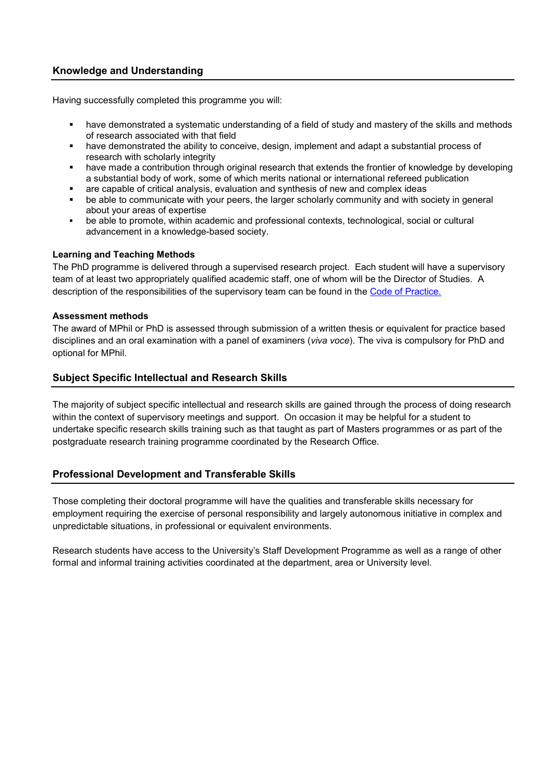### **Knowledge and Understanding**

Having successfully completed this programme you will:

- have demonstrated a systematic understanding of a field of study and mastery of the skills and methods of research associated with that field
- have demonstrated the ability to conceive, design, implement and adapt a substantial process of research with scholarly integrity
- have made a contribution through original research that extends the frontier of knowledge by developing a substantial body of work, some of which merits national or international refereed publication
- **are capable of critical analysis, evaluation and synthesis of new and complex ideas**<br> **be able to communicate with your peers, the larger scholarly community and with so**
- be able to communicate with your peers, the larger scholarly community and with society in general about your areas of expertise
- be able to promote, within academic and professional contexts, technological, social or cultural advancement in a knowledge-based society.

#### **Learning and Teaching Methods**

The PhD programme is delivered through a supervised research project. Each student will have a supervisory team of at least two appropriately qualified academic staff, one of whom will be the Director of Studies. A description of the responsibilities of the supervisory team can be found in the [Code of Practice.](https://www.chi.ac.uk/about-us/policies-and-statements/academic-and-student-support) 

#### **Assessment methods**

The award of MPhil or PhD is assessed through submission of a written thesis or equivalent for practice based disciplines and an oral examination with a panel of examiners (*viva voce*). The viva is compulsory for PhD and optional for MPhil.

#### **Subject Specific Intellectual and Research Skills**

The majority of subject specific intellectual and research skills are gained through the process of doing research within the context of supervisory meetings and support. On occasion it may be helpful for a student to undertake specific research skills training such as that taught as part of Masters programmes or as part of the postgraduate research training programme coordinated by the Research Office.

#### **Professional Development and Transferable Skills**

Those completing their doctoral programme will have the qualities and transferable skills necessary for employment requiring the exercise of personal responsibility and largely autonomous initiative in complex and unpredictable situations, in professional or equivalent environments.

Research students have access to the University's Staff Development Programme as well as a range of other formal and informal training activities coordinated at the department, area or University level.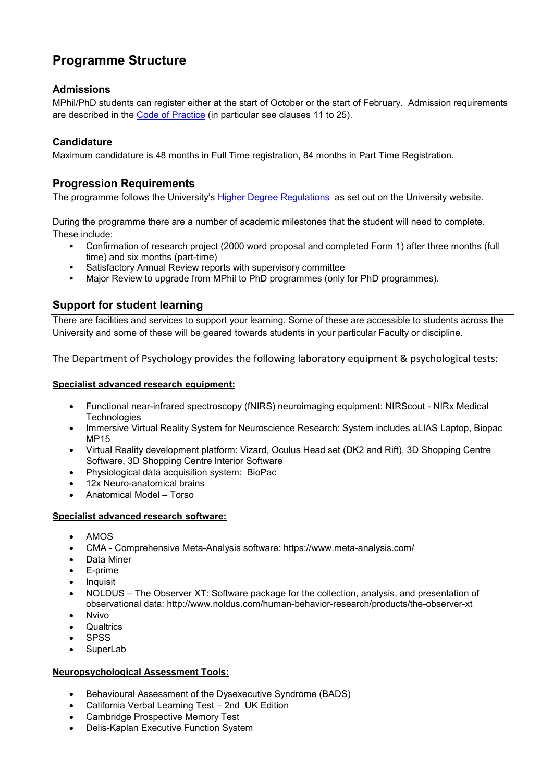# **Programme Structure**

### **Admissions**

MPhil/PhD students can register either at the start of October or the start of February. Admission requirements are described in the [Code of Practice](https://www.chi.ac.uk/about-us/policies-and-statements/academic-and-student-support) (in particular see clauses 11 to 25).

# **Candidature**

Maximum candidature is 48 months in Full Time registration, 84 months in Part Time Registration.

# **Progression Requirements**

The programme follows the University's [Higher Degree Regulations](http://www.chi.ac.uk/%3Cfront%3E/about-us/how-we-work/policies/academic-policies) as set out on the University website.

During the programme there are a number of academic milestones that the student will need to complete. These include:

- Confirmation of research project (2000 word proposal and completed Form 1) after three months (full time) and six months (part-time)
- Satisfactory Annual Review reports with supervisory committee
- Major Review to upgrade from MPhil to PhD programmes (only for PhD programmes).

# **Support for student learning**

There are facilities and services to support your learning. Some of these are accessible to students across the University and some of these will be geared towards students in your particular Faculty or discipline.

The Department of Psychology provides the following laboratory equipment & psychological tests:

#### **Specialist advanced research equipment:**

- Functional near-infrared spectroscopy (fNIRS) neuroimaging equipment: NIRScout NIRx Medical **Technologies**
- Immersive Virtual Reality System for Neuroscience Research: System includes aLIAS Laptop, Biopac MP15
- Virtual Reality development platform: Vizard, Oculus Head set (DK2 and Rift), 3D Shopping Centre Software, 3D Shopping Centre Interior Software
- Physiological data acquisition system: BioPac
- 12x Neuro-anatomical brains
- Anatomical Model Torso

#### **Specialist advanced research software:**

- AMOS
- CMA Comprehensive Meta-Analysis software: https://www.meta-analysis.com/
- Data Miner
- E-prime
- **Inquisit**
- NOLDUS The Observer XT: Software package for the collection, analysis, and presentation of observational data: http://www.noldus.com/human-behavior-research/products/the-observer-xt
- Nvivo
- **Qualtrics**
- SPSS
- **SuperLab**

### **Neuropsychological Assessment Tools:**

- Behavioural Assessment of the Dysexecutive Syndrome (BADS)
- California Verbal Learning Test 2nd UK Edition
- Cambridge Prospective Memory Test
- Delis-Kaplan Executive Function System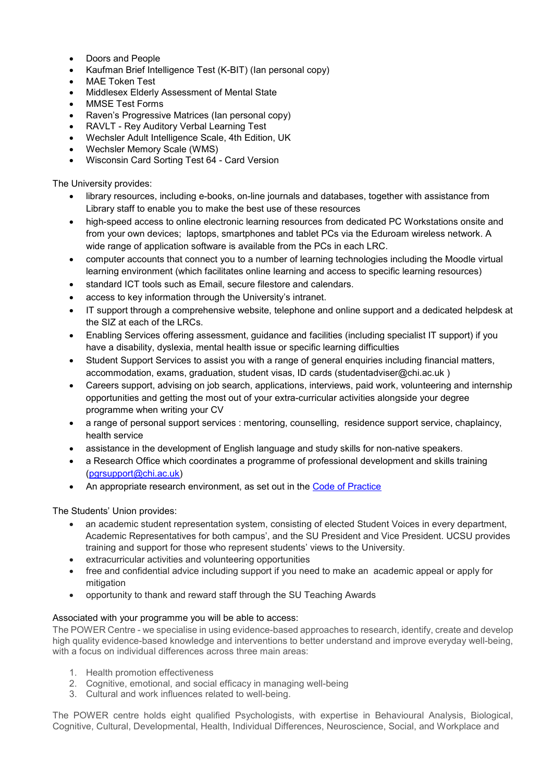- Doors and People
- Kaufman Brief Intelligence Test (K-BIT) (Ian personal copy)
- MAE Token Test
- Middlesex Elderly Assessment of Mental State
- MMSE Test Forms
- Raven's Progressive Matrices (Ian personal copy)
- RAVLT Rey Auditory Verbal Learning Test
- Wechsler Adult Intelligence Scale, 4th Edition, UK
- Wechsler Memory Scale (WMS)
- Wisconsin Card Sorting Test 64 Card Version

The University provides:

- library resources, including e-books, on-line journals and databases, together with assistance from Library staff to enable you to make the best use of these resources
- high-speed access to online electronic learning resources from dedicated PC Workstations onsite and from your own devices; laptops, smartphones and tablet PCs via the Eduroam wireless network. A wide range of application software is available from the PCs in each LRC.
- computer accounts that connect you to a number of learning technologies including the Moodle virtual learning environment (which facilitates online learning and access to specific learning resources)
- standard ICT tools such as Email, secure filestore and calendars.
- access to key information through the University's intranet.
- IT support through a comprehensive website, telephone and online support and a dedicated helpdesk at the SIZ at each of the LRCs.
- Enabling Services offering assessment, guidance and facilities (including specialist IT support) if you have a disability, dyslexia, mental health issue or specific learning difficulties
- Student Support Services to assist you with a range of general enquiries including financial matters, accommodation, exams, graduation, student visas, ID cards (studentadviser@chi.ac.uk )
- Careers support, advising on job search, applications, interviews, paid work, volunteering and internship opportunities and getting the most out of your extra-curricular activities alongside your degree programme when writing your CV
- a range of personal support services : mentoring, counselling, residence support service, chaplaincy, health service
- assistance in the development of English language and study skills for non-native speakers.
- a Research Office which coordinates a programme of professional development and skills training [\(pgrsupport@chi.ac.uk\)](mailto:pgrsupport@chi.ac.uk)
- An appropriate research environment, as set out in the [Code of Practice](http://d3mcbia3evjswv.cloudfront.net/files/Academic%20Board%2017%20Code%20of%20Practice%20for%20Research%20Candidature.pdf?3y1HrtDLYQ0M8uLsL.65i1fF_yx9snAE)

The Students' Union provides:

- an academic student representation system, consisting of elected Student Voices in every department, Academic Representatives for both campus', and the SU President and Vice President. UCSU provides training and support for those who represent students' views to the University.
- extracurricular activities and volunteering opportunities
- free and confidential advice including support if you need to make an academic appeal or apply for mitigation
- opportunity to thank and reward staff through the SU Teaching Awards

#### Associated with your programme you will be able to access:

The POWER Centre - we specialise in using evidence-based approaches to research, identify, create and develop high quality evidence-based knowledge and interventions to better understand and improve everyday well-being, with a focus on individual differences across three main areas:

- 1. Health promotion effectiveness
- 2. Cognitive, emotional, and social efficacy in managing well-being
- 3. Cultural and work influences related to well-being.

The POWER centre holds eight qualified Psychologists, with expertise in Behavioural Analysis, Biological, Cognitive, Cultural, Developmental, Health, Individual Differences, Neuroscience, Social, and Workplace and